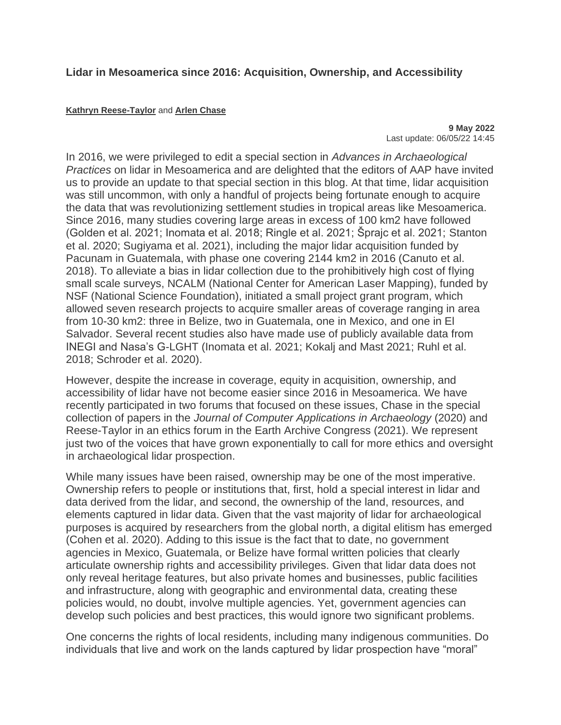## **Lidar in Mesoamerica since 2016: Acquisition, Ownership, and Accessibility**

## **[Kathryn Reese-Taylor](https://www.cambridge.org/core/blog/author/kathryn-reese-taylor/)** and **[Arlen Chase](https://www.cambridge.org/core/blog/author/arlen-chase/)**

**9 May 2022** Last update: 06/05/22 14:45

In 2016, we were privileged to edit a special section in *Advances in Archaeological Practices* on lidar in Mesoamerica and are delighted that the editors of AAP have invited us to provide an update to that special section in this blog. At that time, lidar acquisition was still uncommon, with only a handful of projects being fortunate enough to acquire the data that was revolutionizing settlement studies in tropical areas like Mesoamerica. Since 2016, many studies covering large areas in excess of 100 km2 have followed (Golden et al. 2021; Inomata et al. 2018; Ringle et al. 2021; Šprajc et al. 2021; Stanton et al. 2020; Sugiyama et al. 2021), including the major lidar acquisition funded by Pacunam in Guatemala, with phase one covering 2144 km2 in 2016 (Canuto et al. 2018). To alleviate a bias in lidar collection due to the prohibitively high cost of flying small scale surveys, NCALM (National Center for American Laser Mapping), funded by NSF (National Science Foundation), initiated a small project grant program, which allowed seven research projects to acquire smaller areas of coverage ranging in area from 10-30 km2: three in Belize, two in Guatemala, one in Mexico, and one in El Salvador. Several recent studies also have made use of publicly available data from INEGI and Nasa's G-LGHT (Inomata et al. 2021; Kokalj and Mast 2021; Ruhl et al. 2018; Schroder et al. 2020).

However, despite the increase in coverage, equity in acquisition, ownership, and accessibility of lidar have not become easier since 2016 in Mesoamerica. We have recently participated in two forums that focused on these issues, Chase in the special collection of papers in the *Journal of Computer Applications in Archaeology* (2020) and Reese-Taylor in an ethics forum in the Earth Archive Congress (2021). We represent just two of the voices that have grown exponentially to call for more ethics and oversight in archaeological lidar prospection.

While many issues have been raised, ownership may be one of the most imperative. Ownership refers to people or institutions that, first, hold a special interest in lidar and data derived from the lidar, and second, the ownership of the land, resources, and elements captured in lidar data. Given that the vast majority of lidar for archaeological purposes is acquired by researchers from the global north, a digital elitism has emerged (Cohen et al. 2020). Adding to this issue is the fact that to date, no government agencies in Mexico, Guatemala, or Belize have formal written policies that clearly articulate ownership rights and accessibility privileges. Given that lidar data does not only reveal heritage features, but also private homes and businesses, public facilities and infrastructure, along with geographic and environmental data, creating these policies would, no doubt, involve multiple agencies. Yet, government agencies can develop such policies and best practices, this would ignore two significant problems.

One concerns the rights of local residents, including many indigenous communities. Do individuals that live and work on the lands captured by lidar prospection have "moral"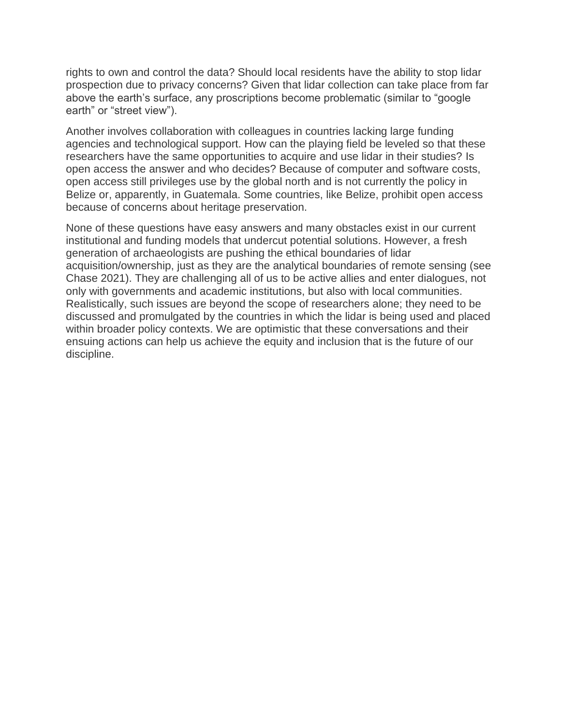rights to own and control the data? Should local residents have the ability to stop lidar prospection due to privacy concerns? Given that lidar collection can take place from far above the earth's surface, any proscriptions become problematic (similar to "google earth" or "street view").

Another involves collaboration with colleagues in countries lacking large funding agencies and technological support. How can the playing field be leveled so that these researchers have the same opportunities to acquire and use lidar in their studies? Is open access the answer and who decides? Because of computer and software costs, open access still privileges use by the global north and is not currently the policy in Belize or, apparently, in Guatemala. Some countries, like Belize, prohibit open access because of concerns about heritage preservation.

None of these questions have easy answers and many obstacles exist in our current institutional and funding models that undercut potential solutions. However, a fresh generation of archaeologists are pushing the ethical boundaries of lidar acquisition/ownership, just as they are the analytical boundaries of remote sensing (see Chase 2021). They are challenging all of us to be active allies and enter dialogues, not only with governments and academic institutions, but also with local communities. Realistically, such issues are beyond the scope of researchers alone; they need to be discussed and promulgated by the countries in which the lidar is being used and placed within broader policy contexts. We are optimistic that these conversations and their ensuing actions can help us achieve the equity and inclusion that is the future of our discipline.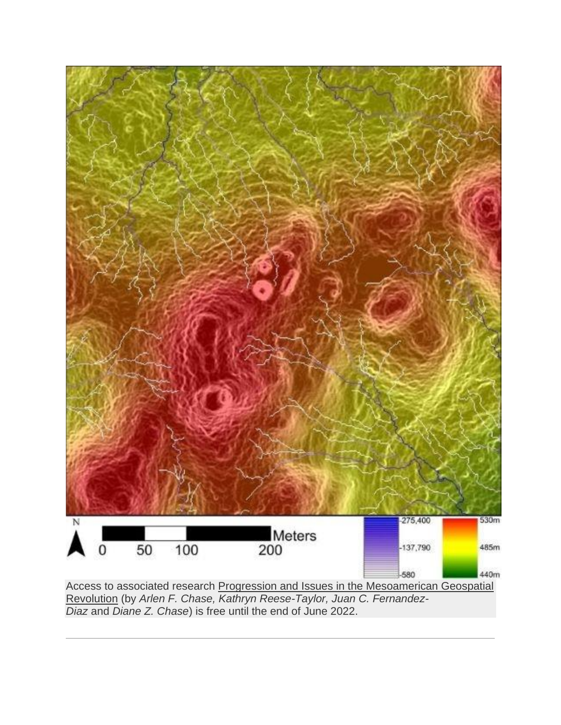

*Diaz* and *Diane Z. Chase*) is free until the end of June 2022.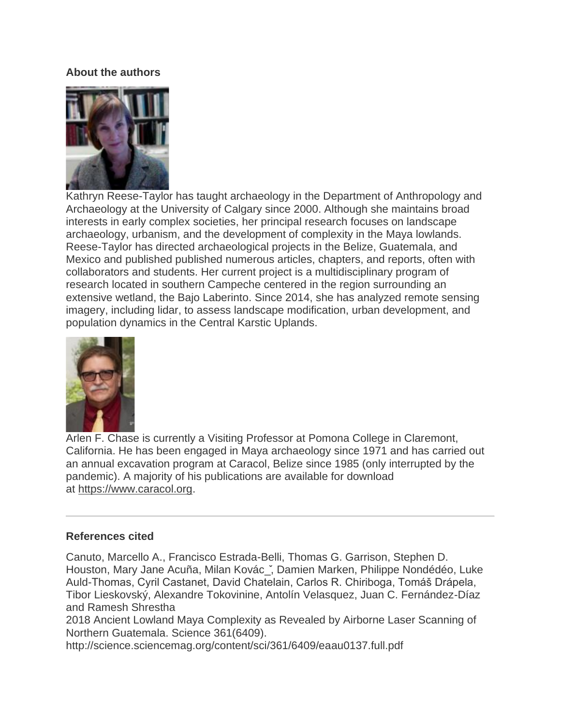## **About the authors**



Kathryn Reese-Taylor has taught archaeology in the Department of Anthropology and Archaeology at the University of Calgary since 2000. Although she maintains broad interests in early complex societies, her principal research focuses on landscape archaeology, urbanism, and the development of complexity in the Maya lowlands. Reese-Taylor has directed archaeological projects in the Belize, Guatemala, and Mexico and published published numerous articles, chapters, and reports, often with collaborators and students. Her current project is a multidisciplinary program of research located in southern Campeche centered in the region surrounding an extensive wetland, the Bajo Laberinto. Since 2014, she has analyzed remote sensing imagery, including lidar, to assess landscape modification, urban development, and population dynamics in the Central Karstic Uplands.



Arlen F. Chase is currently a Visiting Professor at Pomona College in Claremont, California. He has been engaged in Maya archaeology since 1971 and has carried out an annual excavation program at Caracol, Belize since 1985 (only interrupted by the pandemic). A majority of his publications are available for download at [https://www.caracol.org.](https://www.caracol.org/)

## **References cited**

Canuto, Marcello A., Francisco Estrada-Belli, Thomas G. Garrison, Stephen D. Houston, Mary Jane Acuña, Milan Kovác\_̌, Damien Marken, Philippe Nondédéo, Luke Auld-Thomas, Cyril Castanet, David Chatelain, Carlos R. Chiriboga, Tomáš Drápela, Tibor Lieskovský, Alexandre Tokovinine, Antolín Velasquez, Juan C. Fernández-Díaz and Ramesh Shrestha

2018 Ancient Lowland Maya Complexity as Revealed by Airborne Laser Scanning of Northern Guatemala. Science 361(6409).

http://science.sciencemag.org/content/sci/361/6409/eaau0137.full.pdf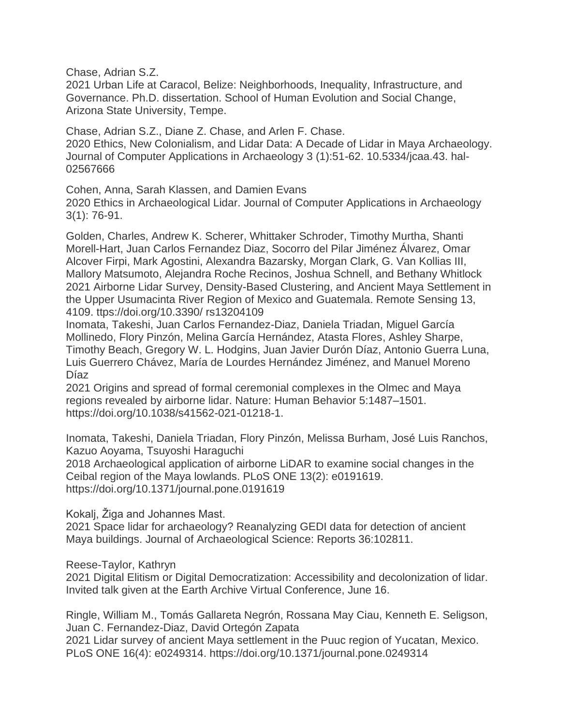Chase, Adrian S.Z.

2021 Urban Life at Caracol, Belize: Neighborhoods, Inequality, Infrastructure, and Governance. Ph.D. dissertation. School of Human Evolution and Social Change, Arizona State University, Tempe.

Chase, Adrian S.Z., Diane Z. Chase, and Arlen F. Chase.

2020 Ethics, New Colonialism, and Lidar Data: A Decade of Lidar in Maya Archaeology. Journal of Computer Applications in Archaeology 3 (1):51-62. 10.5334/jcaa.43. hal-02567666

Cohen, Anna, Sarah Klassen, and Damien Evans 2020 Ethics in Archaeological Lidar. Journal of Computer Applications in Archaeology 3(1): 76-91.

Golden, Charles, Andrew K. Scherer, Whittaker Schroder, Timothy Murtha, Shanti Morell-Hart, Juan Carlos Fernandez Diaz, Socorro del Pilar Jiménez Álvarez, Omar Alcover Firpi, Mark Agostini, Alexandra Bazarsky, Morgan Clark, G. Van Kollias III, Mallory Matsumoto, Alejandra Roche Recinos, Joshua Schnell, and Bethany Whitlock 2021 Airborne Lidar Survey, Density-Based Clustering, and Ancient Maya Settlement in the Upper Usumacinta River Region of Mexico and Guatemala. Remote Sensing 13, 4109. ttps://doi.org/10.3390/ rs13204109

Inomata, Takeshi, Juan Carlos Fernandez-Diaz, Daniela Triadan, Miguel García Mollinedo, Flory Pinzón, Melina García Hernández, Atasta Flores, Ashley Sharpe, Timothy Beach, Gregory W. L. Hodgins, Juan Javier Durón Díaz, Antonio Guerra Luna, Luis Guerrero Chávez, María de Lourdes Hernández Jiménez, and Manuel Moreno Díaz

2021 Origins and spread of formal ceremonial complexes in the Olmec and Maya regions revealed by airborne lidar. Nature: Human Behavior 5:1487–1501. https://doi.org/10.1038/s41562-021-01218-1.

Inomata, Takeshi, Daniela Triadan, Flory Pinzón, Melissa Burham, José Luis Ranchos, Kazuo Aoyama, Tsuyoshi Haraguchi

2018 Archaeological application of airborne LiDAR to examine social changes in the Ceibal region of the Maya lowlands. PLoS ONE 13(2): e0191619. https://doi.org/10.1371/journal.pone.0191619

Kokalj, Žiga and Johannes Mast.

2021 Space lidar for archaeology? Reanalyzing GEDI data for detection of ancient Maya buildings. Journal of Archaeological Science: Reports 36:102811.

Reese-Taylor, Kathryn

2021 Digital Elitism or Digital Democratization: Accessibility and decolonization of lidar. Invited talk given at the Earth Archive Virtual Conference, June 16.

Ringle, William M., Tomás Gallareta Negrón, Rossana May Ciau, Kenneth E. Seligson, Juan C. Fernandez-Diaz, David Ortegón Zapata

2021 Lidar survey of ancient Maya settlement in the Puuc region of Yucatan, Mexico. PLoS ONE 16(4): e0249314. https://doi.org/10.1371/journal.pone.0249314